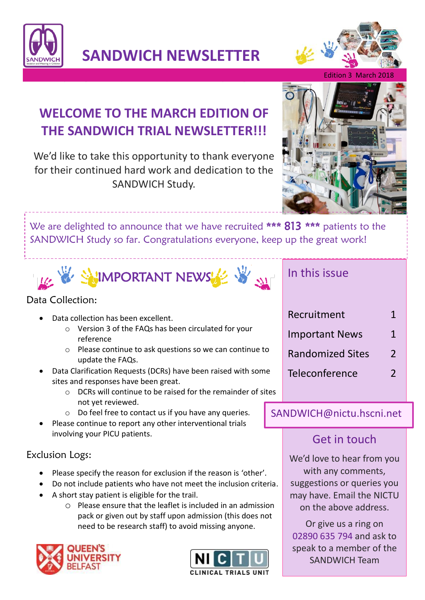

**SANDWICH NEWSLETTER**



Edition 3 March 201

# **WELCOME TO THE MARCH EDITION OF THE SANDWICH TRIAL NEWSLETTER!!!**

We'd like to take this opportunity to thank everyone for their continued hard work and dedication to the SANDWICH Study.



We are delighted to announce that we have recruited \*\*\* 813 \*\*\* patients to the SANDWICH Study so far. Congratulations everyone, keep up the great work!



### Data Collection:

- Data collection has been excellent.
	- o Version 3 of the FAQs has been circulated for your reference
	- o Please continue to ask questions so we can continue to update the FAQs.
	- Data Clarification Requests (DCRs) have been raised with some sites and responses have been great.
		- o DCRs will continue to be raised for the remainder of sites not yet reviewed.
		- o Do feel free to contact us if you have any queries.
- Please continue to report any other interventional trials involving your PICU patients.

### Exclusion Logs:

- Please specify the reason for exclusion if the reason is 'other'.
- Do not include patients who have not meet the inclusion criteria.
- A short stay patient is eligible for the trail.
	- o Please ensure that the leaflet is included in an admission pack or given out by staff upon admission (this does not need to be research staff) to avoid missing anyone.





### In this issue

| Recruitment             | 1             |
|-------------------------|---------------|
| <b>Important News</b>   | 1             |
| <b>Randomized Sites</b> | $\mathcal{L}$ |
| Teleconference          | 2             |
|                         |               |

### SANDWICH@nictu.hscni.net

# Get in touch

We'd love to hear from you with any comments, suggestions or queries you may have. Email the NICTU on the above address.

Or give us a ring on 02890 635 794 and ask to speak to a member of the SANDWICH Team